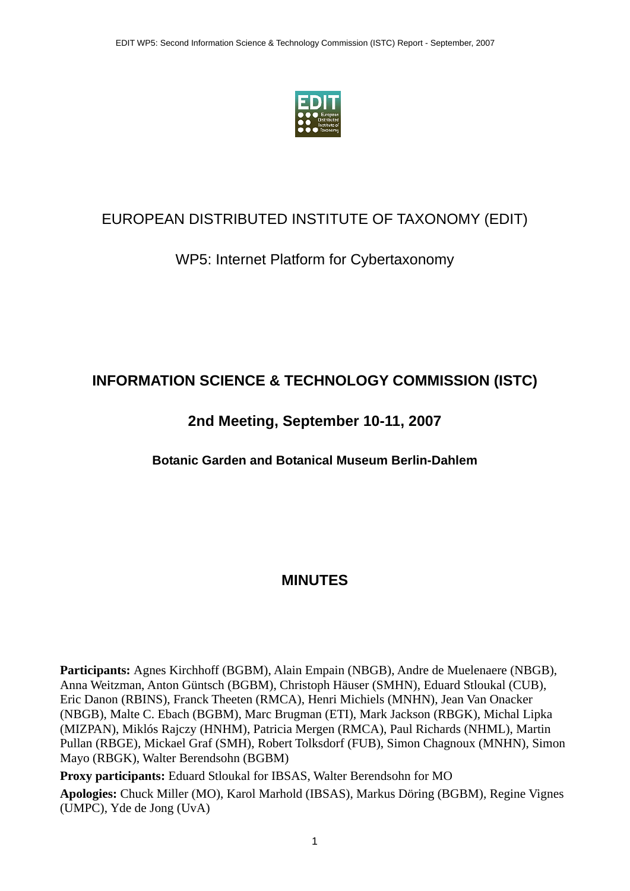

#### EUROPEAN DISTRIBUTED INSTITUTE OF TAXONOMY (EDIT)

#### WP5: Internet Platform for Cybertaxonomy

#### **INFORMATION SCIENCE & TECHNOLOGY COMMISSION (ISTC)**

#### **2nd Meeting, September 10-11, 2007**

**Botanic Garden and Botanical Museum Berlin-Dahlem** 

#### **MINUTES**

**Participants:** Agnes Kirchhoff (BGBM), Alain Empain (NBGB), Andre de Muelenaere (NBGB), Anna Weitzman, Anton Güntsch (BGBM), Christoph Häuser (SMHN), Eduard Stloukal (CUB), Eric Danon (RBINS), Franck Theeten (RMCA), Henri Michiels (MNHN), Jean Van Onacker (NBGB), Malte C. Ebach (BGBM), Marc Brugman (ETI), Mark Jackson (RBGK), Michal Lipka (MIZPAN), Miklós Rajczy (HNHM), Patricia Mergen (RMCA), Paul Richards (NHML), Martin Pullan (RBGE), Mickael Graf (SMH), Robert Tolksdorf (FUB), Simon Chagnoux (MNHN), Simon Mayo (RBGK), Walter Berendsohn (BGBM)

**Proxy participants:** Eduard Stloukal for IBSAS, Walter Berendsohn for MO **Apologies:** Chuck Miller (MO), Karol Marhold (IBSAS), Markus Döring (BGBM), Regine Vignes (UMPC), Yde de Jong (UvA)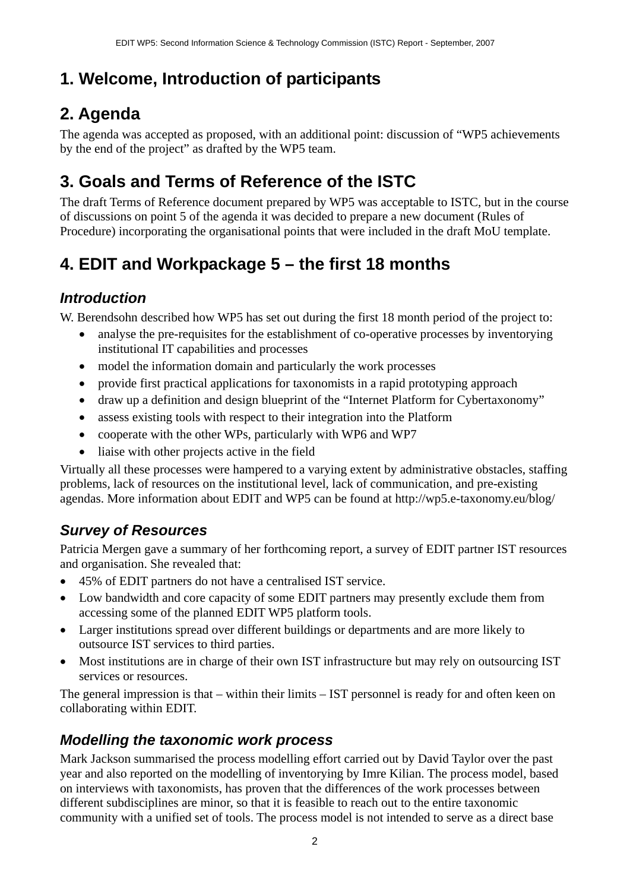# **1. Welcome, Introduction of participants**

# **2. Agenda**

The agenda was accepted as proposed, with an additional point: discussion of "WP5 achievements by the end of the project" as drafted by the WP5 team.

# **3. Goals and Terms of Reference of the ISTC**

The draft Terms of Reference document prepared by WP5 was acceptable to ISTC, but in the course of discussions on point 5 of the agenda it was decided to prepare a new document (Rules of Procedure) incorporating the organisational points that were included in the draft MoU template.

# **4. EDIT and Workpackage 5 – the first 18 months**

#### *Introduction*

W. Berendsohn described how WP5 has set out during the first 18 month period of the project to:

- analyse the pre-requisites for the establishment of co-operative processes by inventorying institutional IT capabilities and processes
- model the information domain and particularly the work processes
- provide first practical applications for taxonomists in a rapid prototyping approach
- draw up a definition and design blueprint of the "Internet Platform for Cybertaxonomy"
- assess existing tools with respect to their integration into the Platform
- cooperate with the other WPs, particularly with WP6 and WP7
- liaise with other projects active in the field

Virtually all these processes were hampered to a varying extent by administrative obstacles, staffing problems, lack of resources on the institutional level, lack of communication, and pre-existing agendas. More information about EDIT and WP5 can be found at http://wp5.e-taxonomy.eu/blog/

### *Survey of Resources*

Patricia Mergen gave a summary of her forthcoming report, a survey of EDIT partner IST resources and organisation. She revealed that:

- 45% of EDIT partners do not have a centralised IST service.
- Low bandwidth and core capacity of some EDIT partners may presently exclude them from accessing some of the planned EDIT WP5 platform tools.
- Larger institutions spread over different buildings or departments and are more likely to outsource IST services to third parties.
- Most institutions are in charge of their own IST infrastructure but may rely on outsourcing IST services or resources.

The general impression is that – within their limits – IST personnel is ready for and often keen on collaborating within EDIT.

### *Modelling the taxonomic work process*

Mark Jackson summarised the process modelling effort carried out by David Taylor over the past year and also reported on the modelling of inventorying by Imre Kilian. The process model, based on interviews with taxonomists, has proven that the differences of the work processes between different subdisciplines are minor, so that it is feasible to reach out to the entire taxonomic community with a unified set of tools. The process model is not intended to serve as a direct base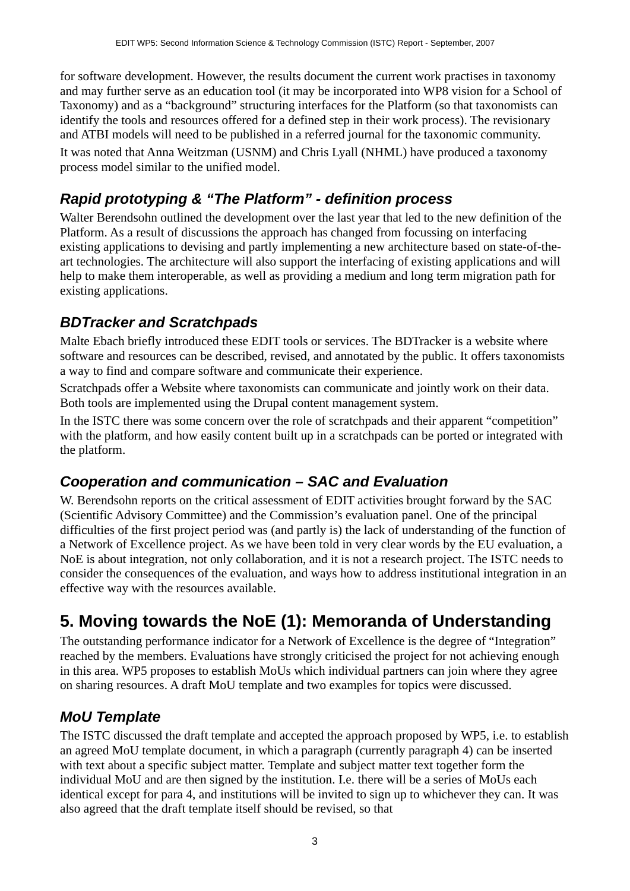for software development. However, the results document the current work practises in taxonomy and may further serve as an education tool (it may be incorporated into WP8 vision for a School of Taxonomy) and as a "background" structuring interfaces for the Platform (so that taxonomists can identify the tools and resources offered for a defined step in their work process). The revisionary and ATBI models will need to be published in a referred journal for the taxonomic community. It was noted that Anna Weitzman (USNM) and Chris Lyall (NHML) have produced a taxonomy process model similar to the unified model.

### *Rapid prototyping & "The Platform" - definition process*

Walter Berendsohn outlined the development over the last year that led to the new definition of the Platform. As a result of discussions the approach has changed from focussing on interfacing existing applications to devising and partly implementing a new architecture based on state-of-theart technologies. The architecture will also support the interfacing of existing applications and will help to make them interoperable, as well as providing a medium and long term migration path for existing applications.

#### *BDTracker and Scratchpads*

Malte Ebach briefly introduced these EDIT tools or services. The BDTracker is a website where software and resources can be described, revised, and annotated by the public. It offers taxonomists a way to find and compare software and communicate their experience.

Scratchpads offer a Website where taxonomists can communicate and jointly work on their data. Both tools are implemented using the Drupal content management system.

In the ISTC there was some concern over the role of scratchpads and their apparent "competition" with the platform, and how easily content built up in a scratchpads can be ported or integrated with the platform.

#### *Cooperation and communication – SAC and Evaluation*

W. Berendsohn reports on the critical assessment of EDIT activities brought forward by the SAC (Scientific Advisory Committee) and the Commission's evaluation panel. One of the principal difficulties of the first project period was (and partly is) the lack of understanding of the function of a Network of Excellence project. As we have been told in very clear words by the EU evaluation, a NoE is about integration, not only collaboration, and it is not a research project. The ISTC needs to consider the consequences of the evaluation, and ways how to address institutional integration in an effective way with the resources available.

## **5. Moving towards the NoE (1): Memoranda of Understanding**

The outstanding performance indicator for a Network of Excellence is the degree of "Integration" reached by the members. Evaluations have strongly criticised the project for not achieving enough in this area. WP5 proposes to establish MoUs which individual partners can join where they agree on sharing resources. A draft MoU template and two examples for topics were discussed.

#### *MoU Template*

The ISTC discussed the draft template and accepted the approach proposed by WP5, i.e. to establish an agreed MoU template document, in which a paragraph (currently paragraph 4) can be inserted with text about a specific subject matter. Template and subject matter text together form the individual MoU and are then signed by the institution. I.e. there will be a series of MoUs each identical except for para 4, and institutions will be invited to sign up to whichever they can. It was also agreed that the draft template itself should be revised, so that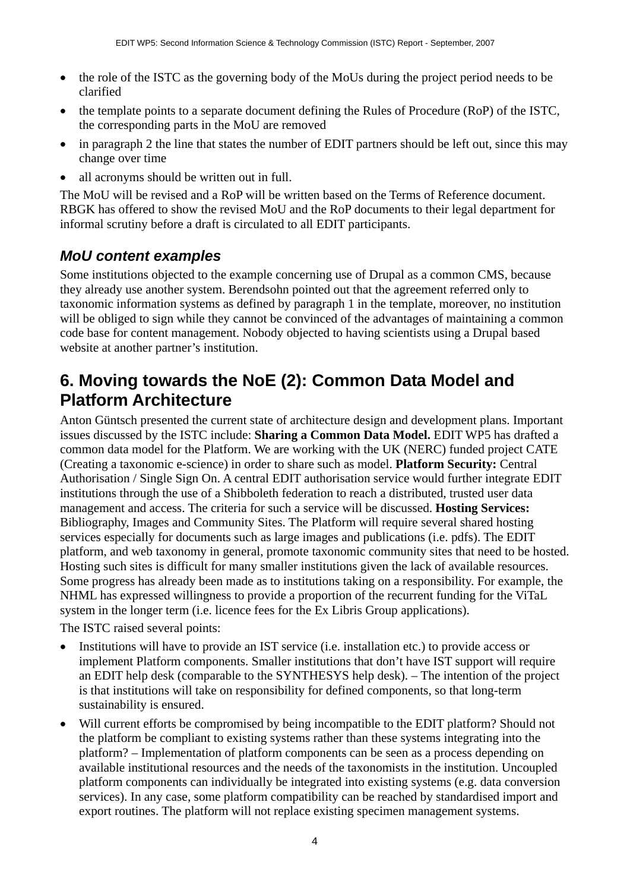- the role of the ISTC as the governing body of the MoUs during the project period needs to be clarified
- the template points to a separate document defining the Rules of Procedure (RoP) of the ISTC, the corresponding parts in the MoU are removed
- in paragraph 2 the line that states the number of EDIT partners should be left out, since this may change over time
- all acronyms should be written out in full.

The MoU will be revised and a RoP will be written based on the Terms of Reference document. RBGK has offered to show the revised MoU and the RoP documents to their legal department for informal scrutiny before a draft is circulated to all EDIT participants.

#### *MoU content examples*

Some institutions objected to the example concerning use of Drupal as a common CMS, because they already use another system. Berendsohn pointed out that the agreement referred only to taxonomic information systems as defined by paragraph 1 in the template, moreover, no institution will be obliged to sign while they cannot be convinced of the advantages of maintaining a common code base for content management. Nobody objected to having scientists using a Drupal based website at another partner's institution.

### **6. Moving towards the NoE (2): Common Data Model and Platform Architecture**

Anton Güntsch presented the current state of architecture design and development plans. Important issues discussed by the ISTC include: **Sharing a Common Data Model.** EDIT WP5 has drafted a common data model for the Platform. We are working with the UK (NERC) funded project CATE (Creating a taxonomic e-science) in order to share such as model. **Platform Security:** Central Authorisation / Single Sign On. A central EDIT authorisation service would further integrate EDIT institutions through the use of a Shibboleth federation to reach a distributed, trusted user data management and access. The criteria for such a service will be discussed. **Hosting Services:**  Bibliography, Images and Community Sites. The Platform will require several shared hosting services especially for documents such as large images and publications (i.e. pdfs). The EDIT platform, and web taxonomy in general, promote taxonomic community sites that need to be hosted. Hosting such sites is difficult for many smaller institutions given the lack of available resources. Some progress has already been made as to institutions taking on a responsibility. For example, the NHML has expressed willingness to provide a proportion of the recurrent funding for the ViTaL system in the longer term (i.e. licence fees for the Ex Libris Group applications).

The ISTC raised several points:

- Institutions will have to provide an IST service (i.e. installation etc.) to provide access or implement Platform components. Smaller institutions that don't have IST support will require an EDIT help desk (comparable to the SYNTHESYS help desk). – The intention of the project is that institutions will take on responsibility for defined components, so that long-term sustainability is ensured.
- Will current efforts be compromised by being incompatible to the EDIT platform? Should not the platform be compliant to existing systems rather than these systems integrating into the platform? – Implementation of platform components can be seen as a process depending on available institutional resources and the needs of the taxonomists in the institution. Uncoupled platform components can individually be integrated into existing systems (e.g. data conversion services). In any case, some platform compatibility can be reached by standardised import and export routines. The platform will not replace existing specimen management systems.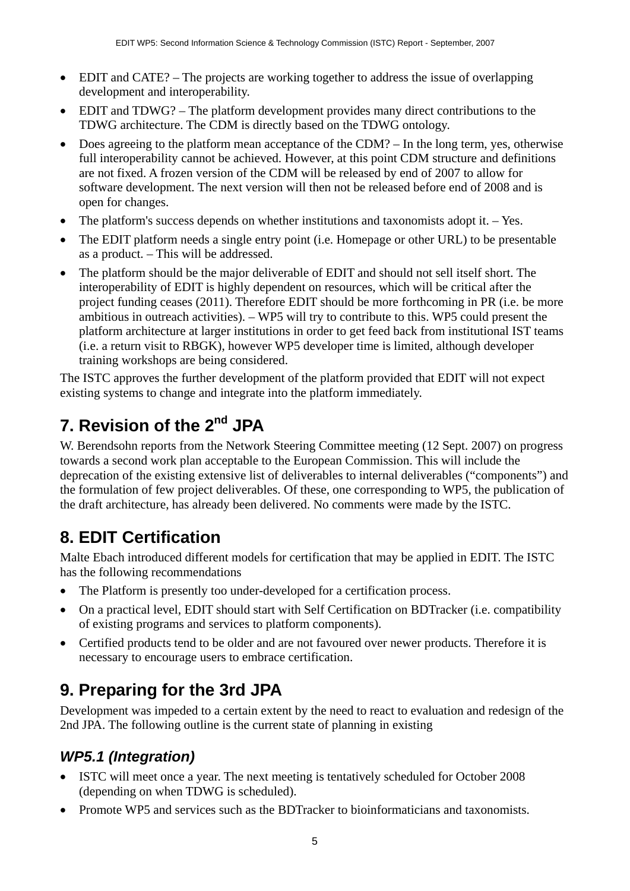- EDIT and CATE? The projects are working together to address the issue of overlapping development and interoperability.
- EDIT and TDWG? The platform development provides many direct contributions to the TDWG architecture. The CDM is directly based on the TDWG ontology.
- Does agreeing to the platform mean acceptance of the CDM? In the long term, yes, otherwise full interoperability cannot be achieved. However, at this point CDM structure and definitions are not fixed. A frozen version of the CDM will be released by end of 2007 to allow for software development. The next version will then not be released before end of 2008 and is open for changes.
- The platform's success depends on whether institutions and taxonomists adopt it. Yes.
- The EDIT platform needs a single entry point (i.e. Homepage or other URL) to be presentable as a product. – This will be addressed.
- The platform should be the major deliverable of EDIT and should not sell itself short. The interoperability of EDIT is highly dependent on resources, which will be critical after the project funding ceases (2011). Therefore EDIT should be more forthcoming in PR (i.e. be more ambitious in outreach activities). – WP5 will try to contribute to this. WP5 could present the platform architecture at larger institutions in order to get feed back from institutional IST teams (i.e. a return visit to RBGK), however WP5 developer time is limited, although developer training workshops are being considered.

The ISTC approves the further development of the platform provided that EDIT will not expect existing systems to change and integrate into the platform immediately.

# **7. Revision of the 2nd JPA**

W. Berendsohn reports from the Network Steering Committee meeting (12 Sept. 2007) on progress towards a second work plan acceptable to the European Commission. This will include the deprecation of the existing extensive list of deliverables to internal deliverables ("components") and the formulation of few project deliverables. Of these, one corresponding to WP5, the publication of the draft architecture, has already been delivered. No comments were made by the ISTC.

## **8. EDIT Certification**

Malte Ebach introduced different models for certification that may be applied in EDIT. The ISTC has the following recommendations

- The Platform is presently too under-developed for a certification process.
- On a practical level, EDIT should start with Self Certification on BDTracker (i.e. compatibility of existing programs and services to platform components).
- Certified products tend to be older and are not favoured over newer products. Therefore it is necessary to encourage users to embrace certification.

## **9. Preparing for the 3rd JPA**

Development was impeded to a certain extent by the need to react to evaluation and redesign of the 2nd JPA. The following outline is the current state of planning in existing

#### *WP5.1 (Integration)*

- ISTC will meet once a year. The next meeting is tentatively scheduled for October 2008 (depending on when TDWG is scheduled).
- Promote WP5 and services such as the BDTracker to bioinformaticians and taxonomists.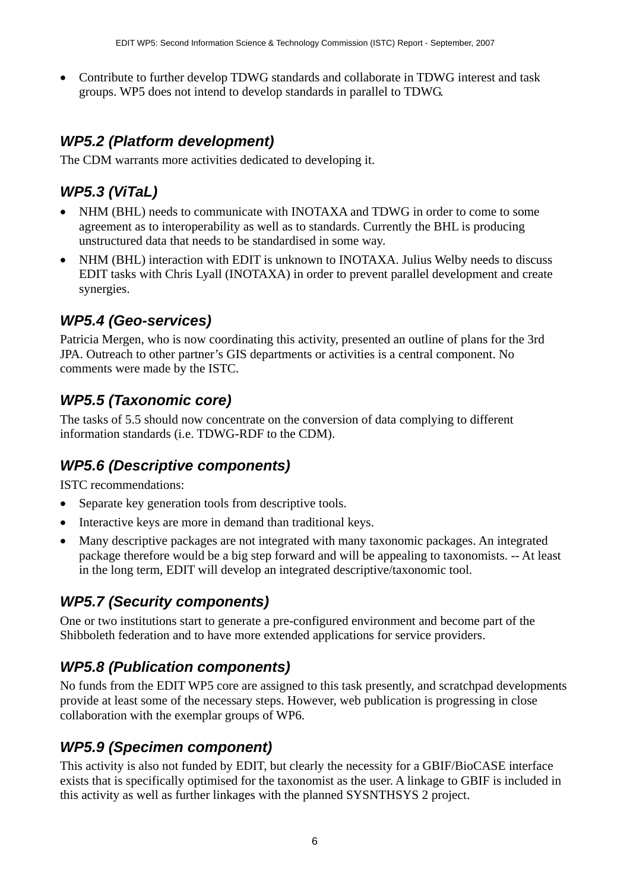• Contribute to further develop TDWG standards and collaborate in TDWG interest and task groups. WP5 does not intend to develop standards in parallel to TDWG.

#### *WP5.2 (Platform development)*

The CDM warrants more activities dedicated to developing it.

### *WP5.3 (ViTaL)*

- NHM (BHL) needs to communicate with INOTAXA and TDWG in order to come to some agreement as to interoperability as well as to standards. Currently the BHL is producing unstructured data that needs to be standardised in some way.
- NHM (BHL) interaction with EDIT is unknown to INOTAXA. Julius Welby needs to discuss EDIT tasks with Chris Lyall (INOTAXA) in order to prevent parallel development and create synergies.

#### *WP5.4 (Geo-services)*

Patricia Mergen, who is now coordinating this activity, presented an outline of plans for the 3rd JPA. Outreach to other partner's GIS departments or activities is a central component. No comments were made by the ISTC.

#### *WP5.5 (Taxonomic core)*

The tasks of 5.5 should now concentrate on the conversion of data complying to different information standards (i.e. TDWG-RDF to the CDM).

#### *WP5.6 (Descriptive components)*

ISTC recommendations:

- Separate key generation tools from descriptive tools.
- Interactive keys are more in demand than traditional keys.
- Many descriptive packages are not integrated with many taxonomic packages. An integrated package therefore would be a big step forward and will be appealing to taxonomists. -- At least in the long term, EDIT will develop an integrated descriptive/taxonomic tool.

#### *WP5.7 (Security components)*

One or two institutions start to generate a pre-configured environment and become part of the Shibboleth federation and to have more extended applications for service providers.

#### *WP5.8 (Publication components)*

No funds from the EDIT WP5 core are assigned to this task presently, and scratchpad developments provide at least some of the necessary steps. However, web publication is progressing in close collaboration with the exemplar groups of WP6.

#### *WP5.9 (Specimen component)*

This activity is also not funded by EDIT, but clearly the necessity for a GBIF/BioCASE interface exists that is specifically optimised for the taxonomist as the user. A linkage to GBIF is included in this activity as well as further linkages with the planned SYSNTHSYS 2 project.